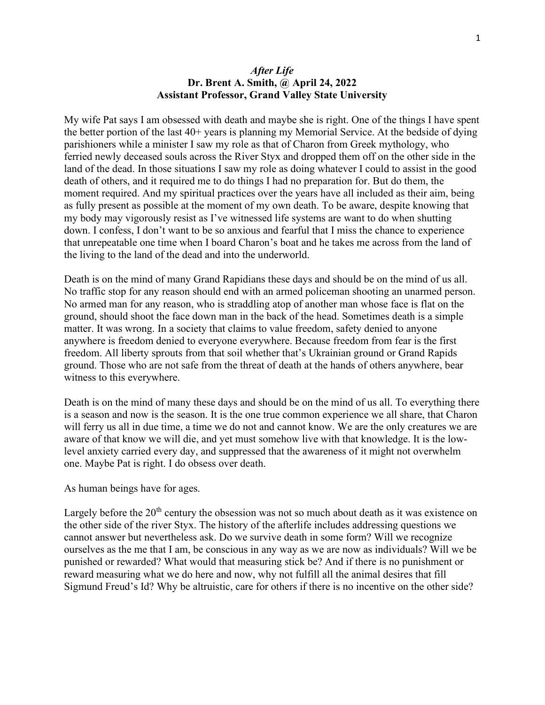### After Life Dr. Brent A. Smith, @ April 24, 2022 Assistant Professor, Grand Valley State University

My wife Pat says I am obsessed with death and maybe she is right. One of the things I have spent the better portion of the last 40+ years is planning my Memorial Service. At the bedside of dying parishioners while a minister I saw my role as that of Charon from Greek mythology, who ferried newly deceased souls across the River Styx and dropped them off on the other side in the land of the dead. In those situations I saw my role as doing whatever I could to assist in the good death of others, and it required me to do things I had no preparation for. But do them, the moment required. And my spiritual practices over the years have all included as their aim, being as fully present as possible at the moment of my own death. To be aware, despite knowing that my body may vigorously resist as I've witnessed life systems are want to do when shutting down. I confess, I don't want to be so anxious and fearful that I miss the chance to experience that unrepeatable one time when I board Charon's boat and he takes me across from the land of the living to the land of the dead and into the underworld.

Death is on the mind of many Grand Rapidians these days and should be on the mind of us all. No traffic stop for any reason should end with an armed policeman shooting an unarmed person. No armed man for any reason, who is straddling atop of another man whose face is flat on the ground, should shoot the face down man in the back of the head. Sometimes death is a simple matter. It was wrong. In a society that claims to value freedom, safety denied to anyone anywhere is freedom denied to everyone everywhere. Because freedom from fear is the first freedom. All liberty sprouts from that soil whether that's Ukrainian ground or Grand Rapids ground. Those who are not safe from the threat of death at the hands of others anywhere, bear witness to this everywhere.

Death is on the mind of many these days and should be on the mind of us all. To everything there is a season and now is the season. It is the one true common experience we all share, that Charon will ferry us all in due time, a time we do not and cannot know. We are the only creatures we are aware of that know we will die, and yet must somehow live with that knowledge. It is the lowlevel anxiety carried every day, and suppressed that the awareness of it might not overwhelm one. Maybe Pat is right. I do obsess over death.

#### As human beings have for ages.

Largely before the  $20<sup>th</sup>$  century the obsession was not so much about death as it was existence on the other side of the river Styx. The history of the afterlife includes addressing questions we cannot answer but nevertheless ask. Do we survive death in some form? Will we recognize ourselves as the me that I am, be conscious in any way as we are now as individuals? Will we be punished or rewarded? What would that measuring stick be? And if there is no punishment or reward measuring what we do here and now, why not fulfill all the animal desires that fill Sigmund Freud's Id? Why be altruistic, care for others if there is no incentive on the other side?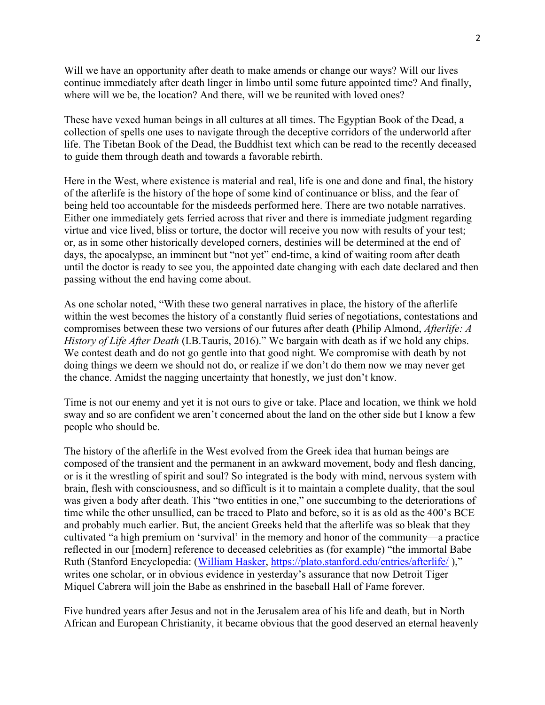Will we have an opportunity after death to make amends or change our ways? Will our lives continue immediately after death linger in limbo until some future appointed time? And finally, where will we be, the location? And there, will we be reunited with loved ones?

These have vexed human beings in all cultures at all times. The Egyptian Book of the Dead, a collection of spells one uses to navigate through the deceptive corridors of the underworld after life. The Tibetan Book of the Dead, the Buddhist text which can be read to the recently deceased to guide them through death and towards a favorable rebirth.

Here in the West, where existence is material and real, life is one and done and final, the history of the afterlife is the history of the hope of some kind of continuance or bliss, and the fear of being held too accountable for the misdeeds performed here. There are two notable narratives. Either one immediately gets ferried across that river and there is immediate judgment regarding virtue and vice lived, bliss or torture, the doctor will receive you now with results of your test; or, as in some other historically developed corners, destinies will be determined at the end of days, the apocalypse, an imminent but "not yet" end-time, a kind of waiting room after death until the doctor is ready to see you, the appointed date changing with each date declared and then passing without the end having come about.

As one scholar noted, "With these two general narratives in place, the history of the afterlife within the west becomes the history of a constantly fluid series of negotiations, contestations and compromises between these two versions of our futures after death (Philip Almond, Afterlife: A History of Life After Death (I.B.Tauris, 2016)." We bargain with death as if we hold any chips. We contest death and do not go gentle into that good night. We compromise with death by not doing things we deem we should not do, or realize if we don't do them now we may never get the chance. Amidst the nagging uncertainty that honestly, we just don't know.

Time is not our enemy and yet it is not ours to give or take. Place and location, we think we hold sway and so are confident we aren't concerned about the land on the other side but I know a few people who should be.

The history of the afterlife in the West evolved from the Greek idea that human beings are composed of the transient and the permanent in an awkward movement, body and flesh dancing, or is it the wrestling of spirit and soul? So integrated is the body with mind, nervous system with brain, flesh with consciousness, and so difficult is it to maintain a complete duality, that the soul was given a body after death. This "two entities in one," one succumbing to the deteriorations of time while the other unsullied, can be traced to Plato and before, so it is as old as the 400's BCE and probably much earlier. But, the ancient Greeks held that the afterlife was so bleak that they cultivated "a high premium on 'survival' in the memory and honor of the community—a practice reflected in our [modern] reference to deceased celebrities as (for example) "the immortal Babe Ruth (Stanford Encyclopedia: (William Hasker, https://plato.stanford.edu/entries/afterlife/ )," writes one scholar, or in obvious evidence in yesterday's assurance that now Detroit Tiger Miquel Cabrera will join the Babe as enshrined in the baseball Hall of Fame forever.

Five hundred years after Jesus and not in the Jerusalem area of his life and death, but in North African and European Christianity, it became obvious that the good deserved an eternal heavenly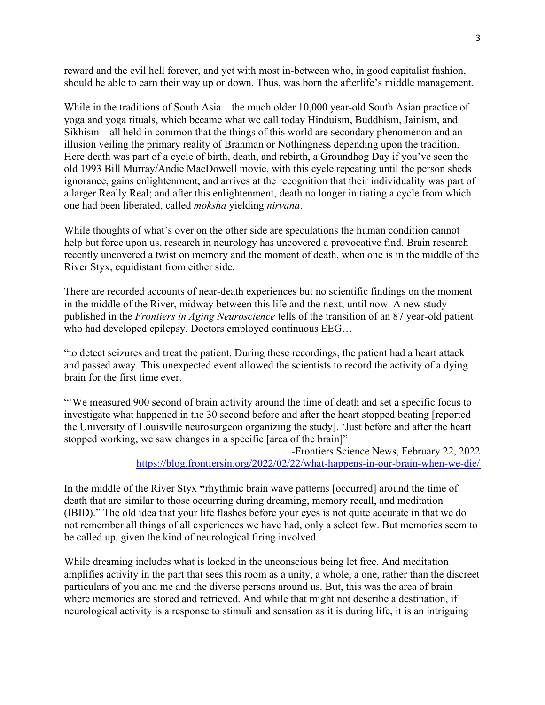reward and the evil hell forever, and yet with most in-between who, in good capitalist fashion, should be able to earn their way up or down. Thus, was born the afterlife's middle management.

While in the traditions of South Asia – the much older 10,000 year-old South Asian practice of yoga and yoga rituals, which became what we call today Hinduism, Buddhism, Jainism, and Sikhism – all held in common that the things of this world are secondary phenomenon and an illusion veiling the primary reality of Brahman or Nothingness depending upon the tradition. Here death was part of a cycle of birth, death, and rebirth, a Groundhog Day if you've seen the old 1993 Bill Murray/Andie MacDowell movie, with this cycle repeating until the person sheds ignorance, gains enlightenment, and arrives at the recognition that their individuality was part of a larger Really Real; and after this enlightenment, death no longer initiating a cycle from which one had been liberated, called moksha yielding nirvana.

While thoughts of what's over on the other side are speculations the human condition cannot help but force upon us, research in neurology has uncovered a provocative find. Brain research recently uncovered a twist on memory and the moment of death, when one is in the middle of the River Styx, equidistant from either side.

There are recorded accounts of near-death experiences but no scientific findings on the moment in the middle of the River, midway between this life and the next; until now. A new study published in the Frontiers in Aging Neuroscience tells of the transition of an 87 year-old patient who had developed epilepsy. Doctors employed continuous EEG…

"to detect seizures and treat the patient. During these recordings, the patient had a heart attack and passed away. This unexpected event allowed the scientists to record the activity of a dying brain for the first time ever.

"'We measured 900 second of brain activity around the time of death and set a specific focus to investigate what happened in the 30 second before and after the heart stopped beating [reported the University of Louisville neurosurgeon organizing the study]. 'Just before and after the heart stopped working, we saw changes in a specific [area of the brain]"

> -Frontiers Science News, February 22, 2022 https://blog.frontiersin.org/2022/02/22/what-happens-in-our-brain-when-we-die/

In the middle of the River Styx "rhythmic brain wave patterns [occurred] around the time of death that are similar to those occurring during dreaming, memory recall, and meditation (IBID)." The old idea that your life flashes before your eyes is not quite accurate in that we do not remember all things of all experiences we have had, only a select few. But memories seem to be called up, given the kind of neurological firing involved.

While dreaming includes what is locked in the unconscious being let free. And meditation amplifies activity in the part that sees this room as a unity, a whole, a one, rather than the discreet particulars of you and me and the diverse persons around us. But, this was the area of brain where memories are stored and retrieved. And while that might not describe a destination, if neurological activity is a response to stimuli and sensation as it is during life, it is an intriguing